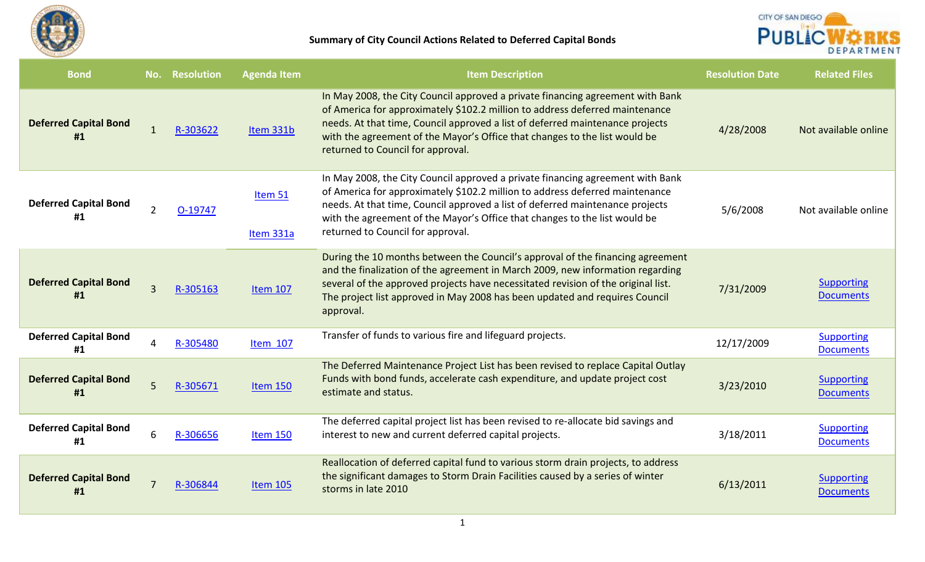



| <b>Bond</b>                        | No.            | <b>Resolution</b> | <b>Agenda Item</b>   | <b>Item Description</b>                                                                                                                                                                                                                                                                                                                                            | <b>Resolution Date</b> | <b>Related Files</b>                  |
|------------------------------------|----------------|-------------------|----------------------|--------------------------------------------------------------------------------------------------------------------------------------------------------------------------------------------------------------------------------------------------------------------------------------------------------------------------------------------------------------------|------------------------|---------------------------------------|
| <b>Deferred Capital Bond</b><br>#1 | $\mathbf{1}$   | R-303622          | Item 331b            | In May 2008, the City Council approved a private financing agreement with Bank<br>of America for approximately \$102.2 million to address deferred maintenance<br>needs. At that time, Council approved a list of deferred maintenance projects<br>with the agreement of the Mayor's Office that changes to the list would be<br>returned to Council for approval. | 4/28/2008              | Not available online                  |
| <b>Deferred Capital Bond</b><br>#1 | $2^{\circ}$    | O-19747           | Item 51<br>Item 331a | In May 2008, the City Council approved a private financing agreement with Bank<br>of America for approximately \$102.2 million to address deferred maintenance<br>needs. At that time, Council approved a list of deferred maintenance projects<br>with the agreement of the Mayor's Office that changes to the list would be<br>returned to Council for approval. | 5/6/2008               | Not available online                  |
| <b>Deferred Capital Bond</b><br>#1 | $\overline{3}$ | R-305163          | <b>Item 107</b>      | During the 10 months between the Council's approval of the financing agreement<br>and the finalization of the agreement in March 2009, new information regarding<br>several of the approved projects have necessitated revision of the original list.<br>The project list approved in May 2008 has been updated and requires Council<br>approval.                  | 7/31/2009              | <b>Supporting</b><br><b>Documents</b> |
| <b>Deferred Capital Bond</b><br>#1 |                | R-305480          | Item 107             | Transfer of funds to various fire and lifeguard projects.                                                                                                                                                                                                                                                                                                          | 12/17/2009             | <b>Supporting</b><br><b>Documents</b> |
| <b>Deferred Capital Bond</b><br>#1 | 5              | R-305671          | <b>Item 150</b>      | The Deferred Maintenance Project List has been revised to replace Capital Outlay<br>Funds with bond funds, accelerate cash expenditure, and update project cost<br>estimate and status.                                                                                                                                                                            | 3/23/2010              | <b>Supporting</b><br><b>Documents</b> |
| <b>Deferred Capital Bond</b><br>#1 | 6              | R-306656          | <b>Item 150</b>      | The deferred capital project list has been revised to re-allocate bid savings and<br>interest to new and current deferred capital projects.                                                                                                                                                                                                                        | 3/18/2011              | <b>Supporting</b><br><b>Documents</b> |
| <b>Deferred Capital Bond</b><br>#1 | $\overline{7}$ | R-306844          | <b>Item 105</b>      | Reallocation of deferred capital fund to various storm drain projects, to address<br>the significant damages to Storm Drain Facilities caused by a series of winter<br>storms in late 2010                                                                                                                                                                         | 6/13/2011              | <b>Supporting</b><br><b>Documents</b> |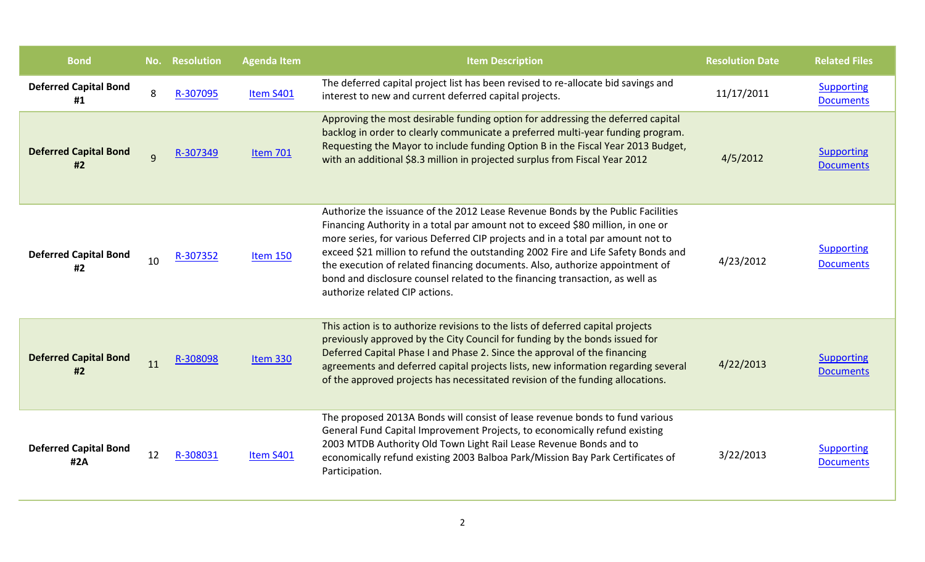| <b>Bond</b>                         | No. | <b>Resolution</b> | <b>Agenda Item</b> | <b>Item Description</b>                                                                                                                                                                                                                                                                                                                                                                                                                                                                                                                      | <b>Resolution Date</b> | <b>Related Files</b>                  |
|-------------------------------------|-----|-------------------|--------------------|----------------------------------------------------------------------------------------------------------------------------------------------------------------------------------------------------------------------------------------------------------------------------------------------------------------------------------------------------------------------------------------------------------------------------------------------------------------------------------------------------------------------------------------------|------------------------|---------------------------------------|
| <b>Deferred Capital Bond</b><br>#1  | 8   | R-307095          | Item S401          | The deferred capital project list has been revised to re-allocate bid savings and<br>interest to new and current deferred capital projects.                                                                                                                                                                                                                                                                                                                                                                                                  | 11/17/2011             | <b>Supporting</b><br><b>Documents</b> |
| <b>Deferred Capital Bond</b><br>#2  | 9   | R-307349          | <b>Item 701</b>    | Approving the most desirable funding option for addressing the deferred capital<br>backlog in order to clearly communicate a preferred multi-year funding program.<br>Requesting the Mayor to include funding Option B in the Fiscal Year 2013 Budget,<br>with an additional \$8.3 million in projected surplus from Fiscal Year 2012                                                                                                                                                                                                        | 4/5/2012               | Supporting<br><b>Documents</b>        |
| <b>Deferred Capital Bond</b><br>#2  | 10  | R-307352          | <b>Item 150</b>    | Authorize the issuance of the 2012 Lease Revenue Bonds by the Public Facilities<br>Financing Authority in a total par amount not to exceed \$80 million, in one or<br>more series, for various Deferred CIP projects and in a total par amount not to<br>exceed \$21 million to refund the outstanding 2002 Fire and Life Safety Bonds and<br>the execution of related financing documents. Also, authorize appointment of<br>bond and disclosure counsel related to the financing transaction, as well as<br>authorize related CIP actions. | 4/23/2012              | <b>Supporting</b><br><b>Documents</b> |
| <b>Deferred Capital Bond</b><br>#2  | 11  | R-308098          | Item 330           | This action is to authorize revisions to the lists of deferred capital projects<br>previously approved by the City Council for funding by the bonds issued for<br>Deferred Capital Phase I and Phase 2. Since the approval of the financing<br>agreements and deferred capital projects lists, new information regarding several<br>of the approved projects has necessitated revision of the funding allocations.                                                                                                                           | 4/22/2013              | <b>Supporting</b><br><b>Documents</b> |
| <b>Deferred Capital Bond</b><br>#2A | 12  | R-308031          | Item S401          | The proposed 2013A Bonds will consist of lease revenue bonds to fund various<br>General Fund Capital Improvement Projects, to economically refund existing<br>2003 MTDB Authority Old Town Light Rail Lease Revenue Bonds and to<br>economically refund existing 2003 Balboa Park/Mission Bay Park Certificates of<br>Participation.                                                                                                                                                                                                         | 3/22/2013              | <b>Supporting</b><br><b>Documents</b> |